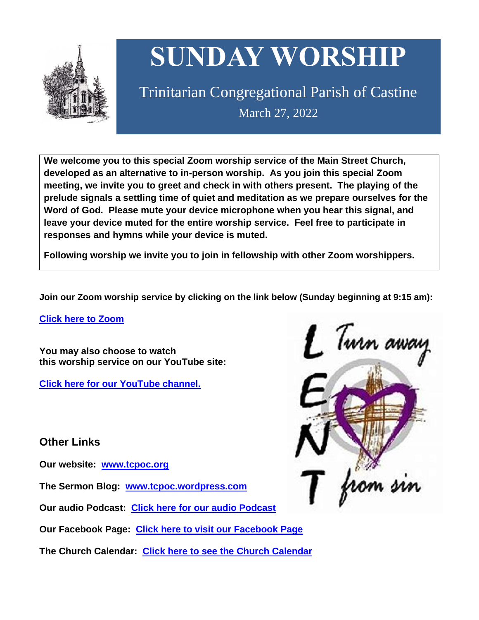

# **SUNDAY WORSHIP**

Trinitarian Congregational Parish of Castine March 27, 2022

**We welcome you to this special Zoom worship service of the Main Street Church, developed as an alternative to in-person worship. As you join this special Zoom meeting, we invite you to greet and check in with others present. The playing of the prelude signals a settling time of quiet and meditation as we prepare ourselves for the Word of God. Please mute your device microphone when you hear this signal, and leave your device muted for the entire worship service. Feel free to participate in responses and hymns while your device is muted.**

**Following worship we invite you to join in fellowship with other Zoom worshippers.**

**Join our Zoom worship service by clicking on the link below (Sunday beginning at 9:15 am):**

**Click here to [Zoom](https://us02web.zoom.us/j/89573448511?pwd=MFRuSFBJR2NWL015RzlyZ1UycmROQT09)**

**You may also choose to watch this worship service on our YouTube site:**

**Click here for our [YouTube](https://www.youtube.com/channel/UC4Bu-O6pN-bdPOqVNg0fBxA) channel.**

**Other Links**

**Our website: [www.tcpoc.org](http://www.tcpoc.org/)**

**The Sermon Blog: [www.tcpoc.wordpress.com](http://www.tcpoc.wordpress.com/)**

**Our audio Podcast: Click here for our audio [Podcast](https://podpoint.com/trinitarian-congregational-parish-of-castine-podcast)**

**Our Facebook Page: Click here to visit our [Facebook](https://www.facebook.com/tcpoc) Page**

**The Church Calendar: Click here to see the Church [Calendar](http://www.tcpoc.org/calendar.html)**

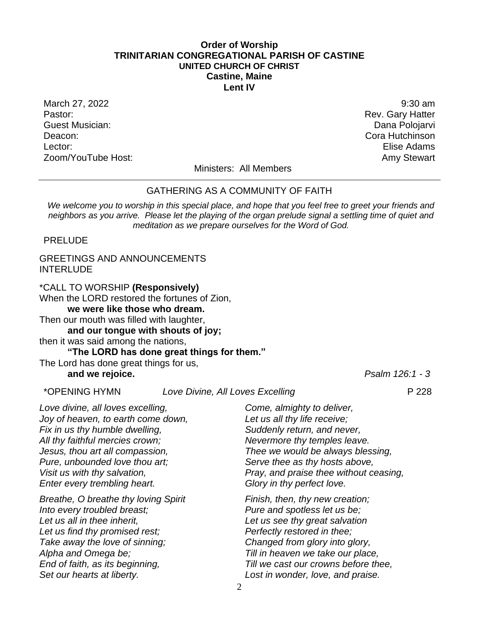#### **Order of Worship TRINITARIAN CONGREGATIONAL PARISH OF CASTINE UNITED CHURCH OF CHRIST Castine, Maine Lent IV**

March 27, 2022 9:30 am Pastor: **Rev. Gary Hatter** Pastor: **Rev. Gary Hatter** Pastor: **Rev. Gary Hatter** Pastor: Guest Musician: Dana Polojarvi Deacon: Cora Hutchinson Lector: Elise Adams Zoom/YouTube Host: Amy Stewart Communication and Amy Stewart

Ministers: All Members

#### GATHERING AS A COMMUNITY OF FAITH

*We welcome you to worship in this special place, and hope that you feel free to greet your friends and neighbors as you arrive. Please let the playing of the organ prelude signal a settling time of quiet and meditation as we prepare ourselves for the Word of God.*

PRELUDE

# GREETINGS AND ANNOUNCEMENTS INTERLUDE

\*CALL TO WORSHIP **(Responsively)** When the LORD restored the fortunes of Zion, **we were like those who dream.** Then our mouth was filled with laughter, **and our tongue with shouts of joy;** then it was said among the nations, **"The LORD has done great things for them."**

The Lord has done great things for us, **and we rejoice.** *Psalm 126:1 - 3*

\*OPENING HYMN *Love Divine, All Loves Excelling* P 228

*Love divine, all loves excelling, Joy of heaven, to earth come down, Fix in us thy humble dwelling, All thy faithful mercies crown; Jesus, thou art all compassion, Pure, unbounded love thou art; Visit us with thy salvation, Enter every trembling heart.*

*Breathe, O breathe thy loving Spirit Into every troubled breast; Let us all in thee inherit, Let us find thy promised rest; Take away the love of sinning; Alpha and Omega be; End of faith, as its beginning, Set our hearts at liberty.*

*Come, almighty to deliver, Let us all thy life receive; Suddenly return, and never, Nevermore thy temples leave. Thee we would be always blessing, Serve thee as thy hosts above, Pray, and praise thee without ceasing, Glory in thy perfect love.*

*Finish, then, thy new creation; Pure and spotless let us be; Let us see thy great salvation Perfectly restored in thee; Changed from glory into glory, Till in heaven we take our place, Till we cast our crowns before thee, Lost in wonder, love, and praise.*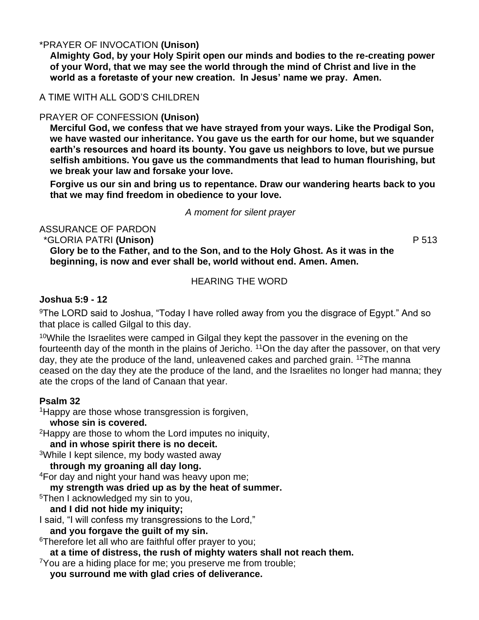# \*PRAYER OF INVOCATION **(Unison)**

**Almighty God, by your Holy Spirit open our minds and bodies to the re-creating power of your Word, that we may see the world through the mind of Christ and live in the world as a foretaste of your new creation. In Jesus' name we pray. Amen.**

# A TIME WITH ALL GOD'S CHILDREN

# PRAYER OF CONFESSION **(Unison)**

**Merciful God, we confess that we have strayed from your ways. Like the Prodigal Son, we have wasted our inheritance. You gave us the earth for our home, but we squander earth's resources and hoard its bounty. You gave us neighbors to love, but we pursue selfish ambitions. You gave us the commandments that lead to human flourishing, but we break your law and forsake your love.** 

**Forgive us our sin and bring us to repentance. Draw our wandering hearts back to you that we may find freedom in obedience to your love.**

#### *A moment for silent prayer*

ASSURANCE OF PARDON

\*GLORIA PATRI **(Unison)** P 513

**Glory be to the Father, and to the Son, and to the Holy Ghost. As it was in the beginning, is now and ever shall be, world without end. Amen. Amen.**

HEARING THE WORD

# **Joshua 5:9 - 12**

<sup>9</sup>The LORD said to Joshua, "Today I have rolled away from you the disgrace of Egypt." And so that place is called Gilgal to this day.

<sup>10</sup>While the Israelites were camped in Gilgal they kept the passover in the evening on the fourteenth day of the month in the plains of Jericho. <sup>11</sup>On the day after the passover, on that very day, they ate the produce of the land, unleavened cakes and parched grain. <sup>12</sup>The manna ceased on the day they ate the produce of the land, and the Israelites no longer had manna; they ate the crops of the land of Canaan that year.

# **Psalm 32**

<sup>1</sup>Happy are those whose transgression is forgiven,

# **whose sin is covered.**

<sup>2</sup>Happy are those to whom the Lord imputes no iniquity,

**and in whose spirit there is no deceit.** 

<sup>3</sup>While I kept silence, my body wasted away

**through my groaning all day long.** 

<sup>4</sup>For day and night your hand was heavy upon me;

**my strength was dried up as by the heat of summer.** 

<sup>5</sup>Then I acknowledged my sin to you,

# **and I did not hide my iniquity;**

I said, "I will confess my transgressions to the Lord,"

**and you forgave the guilt of my sin.** 

<sup>6</sup>Therefore let all who are faithful offer prayer to you;

**at a time of distress, the rush of mighty waters shall not reach them.** 

 $7$ You are a hiding place for me; you preserve me from trouble;

**you surround me with glad cries of deliverance.**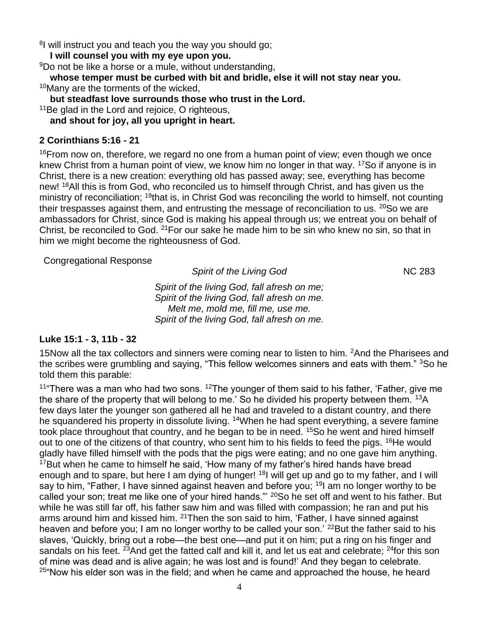<sup>8</sup>I will instruct you and teach you the way you should go;

**I will counsel you with my eye upon you.** 

<sup>9</sup>Do not be like a horse or a mule, without understanding,

**whose temper must be curbed with bit and bridle, else it will not stay near you.**  <sup>10</sup>Many are the torments of the wicked.

**but steadfast love surrounds those who trust in the Lord.** 

<sup>11</sup>Be glad in the Lord and rejoice, O righteous,

**and shout for joy, all you upright in heart.** 

# **2 Corinthians 5:16 - 21**

 $16$ From now on, therefore, we regard no one from a human point of view; even though we once knew Christ from a human point of view, we know him no longer in that way. <sup>17</sup>So if anyone is in Christ, there is a new creation: everything old has passed away; see, everything has become new! <sup>18</sup>All this is from God, who reconciled us to himself through Christ, and has given us the ministry of reconciliation; <sup>19</sup>that is, in Christ God was reconciling the world to himself, not counting their trespasses against them, and entrusting the message of reconciliation to us. <sup>20</sup>So we are ambassadors for Christ, since God is making his appeal through us; we entreat you on behalf of Christ, be reconciled to God. <sup>21</sup>For our sake he made him to be sin who knew no sin, so that in him we might become the righteousness of God.

Congregational Response

**Spirit of the Living God** NC 283

*Spirit of the living God, fall afresh on me; Spirit of the living God, fall afresh on me. Melt me, mold me, fill me, use me. Spirit of the living God, fall afresh on me.*

# **Luke 15:1 - 3, 11b - 32**

15Now all the tax collectors and sinners were coming near to listen to him. <sup>2</sup>And the Pharisees and the scribes were grumbling and saying, "This fellow welcomes sinners and eats with them." <sup>3</sup>So he told them this parable:

<sup>11</sup> There was a man who had two sons. <sup>12</sup> The younger of them said to his father, 'Father, give me the share of the property that will belong to me.' So he divided his property between them. <sup>13</sup>A few days later the younger son gathered all he had and traveled to a distant country, and there he squandered his property in dissolute living. <sup>14</sup>When he had spent everything, a severe famine took place throughout that country, and he began to be in need. <sup>15</sup>So he went and hired himself out to one of the citizens of that country, who sent him to his fields to feed the pigs. <sup>16</sup>He would gladly have filled himself with the pods that the pigs were eating; and no one gave him anything.  $17$ But when he came to himself he said, 'How many of my father's hired hands have bread enough and to spare, but here I am dying of hunger! <sup>18</sup>I will get up and go to my father, and I will say to him, "Father, I have sinned against heaven and before you; <sup>19</sup>I am no longer worthy to be called your son; treat me like one of your hired hands."' <sup>20</sup>So he set off and went to his father. But while he was still far off, his father saw him and was filled with compassion; he ran and put his arms around him and kissed him. <sup>21</sup>Then the son said to him, 'Father, I have sinned against heaven and before you; I am no longer worthy to be called your son.' <sup>22</sup>But the father said to his slaves, 'Quickly, bring out a robe—the best one—and put it on him; put a ring on his finger and sandals on his feet. <sup>23</sup>And get the fatted calf and kill it, and let us eat and celebrate; <sup>24</sup>for this son of mine was dead and is alive again; he was lost and is found!' And they began to celebrate.  $25^{\circ}$ Now his elder son was in the field; and when he came and approached the house, he heard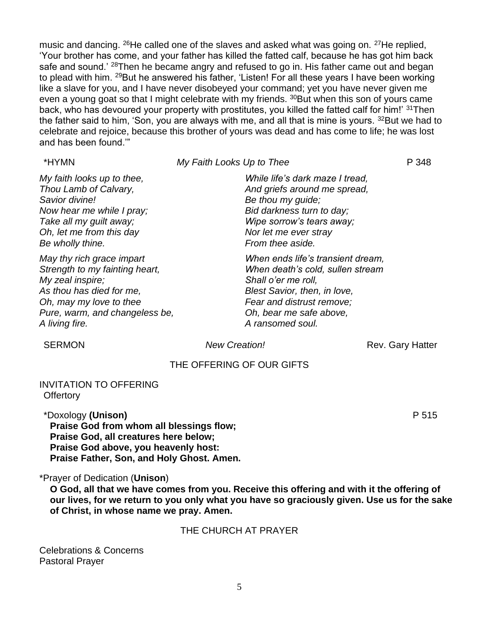music and dancing. <sup>26</sup>He called one of the slaves and asked what was going on. <sup>27</sup>He replied, 'Your brother has come, and your father has killed the fatted calf, because he has got him back safe and sound.' <sup>28</sup>Then he became angry and refused to go in. His father came out and began to plead with him. <sup>29</sup>But he answered his father, 'Listen! For all these years I have been working like a slave for you, and I have never disobeyed your command; yet you have never given me even a young goat so that I might celebrate with my friends. <sup>30</sup>But when this son of yours came back, who has devoured your property with prostitutes, you killed the fatted calf for him!' 31Then the father said to him, 'Son, you are always with me, and all that is mine is yours. <sup>32</sup>But we had to celebrate and rejoice, because this brother of yours was dead and has come to life; he was lost and has been found.'"

*My Faith Looks Up to Thee* P 348

*My faith looks up to thee, Thou Lamb of Calvary, Savior divine! Now hear me while I pray; Take all my guilt away; Oh, let me from this day Be wholly thine.*

*May thy rich grace impart Strength to my fainting heart, My zeal inspire; As thou has died for me, Oh, may my love to thee Pure, warm, and changeless be, A living fire.*

# *While life's dark maze I tread, And griefs around me spread, Be thou my guide; Bid darkness turn to day; Wipe sorrow's tears away; Nor let me ever stray From thee aside.*

*When ends life's transient dream, When death's cold, sullen stream Shall o'er me roll, Blest Savior, then, in love, Fear and distrust remove; Oh, bear me safe above, A ransomed soul.*

**SERMON** *New Creation!* **Rev. Gary Hatter** 

# THE OFFERING OF OUR GIFTS

#### INVITATION TO OFFERING **Offertory**

\*Doxology **(Unison)** P 515 **Praise God from whom all blessings flow; Praise God, all creatures here below; Praise God above, you heavenly host: Praise Father, Son, and Holy Ghost. Amen.**

# \*Prayer of Dedication (**Unison**)

**O God, all that we have comes from you. Receive this offering and with it the offering of our lives, for we return to you only what you have so graciously given. Use us for the sake of Christ, in whose name we pray. Amen.**

# THE CHURCH AT PRAYER

Celebrations & Concerns Pastoral Prayer

#### 5